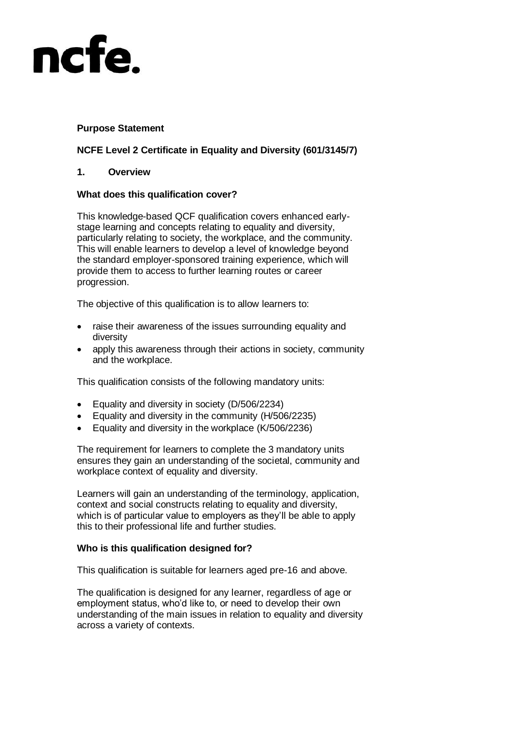# ncfe

# **Purpose Statement**

# **NCFE Level 2 Certificate in Equality and Diversity (601/3145/7)**

## **1. Overview**

## **What does this qualification cover?**

This knowledge-based QCF qualification covers enhanced earlystage learning and concepts relating to equality and diversity, particularly relating to society, the workplace, and the community. This will enable learners to develop a level of knowledge beyond the standard employer-sponsored training experience, which will provide them to access to further learning routes or career progression.

The objective of this qualification is to allow learners to:

- raise their awareness of the issues surrounding equality and diversity
- apply this awareness through their actions in society, community and the workplace.

This qualification consists of the following mandatory units:

- Equality and diversity in society (D/506/2234)
- **Equality and diversity in the community (H/506/2235)**
- **Equality and diversity in the workplace (K/506/2236)**

The requirement for learners to complete the 3 mandatory units ensures they gain an understanding of the societal, community and workplace context of equality and diversity.

Learners will gain an understanding of the terminology, application, context and social constructs relating to equality and diversity, which is of particular value to employers as they'll be able to apply this to their professional life and further studies.

## **Who is this qualification designed for?**

This qualification is suitable for learners aged pre-16 and above.

The qualification is designed for any learner, regardless of age or employment status, who'd like to, or need to develop their own understanding of the main issues in relation to equality and diversity across a variety of contexts.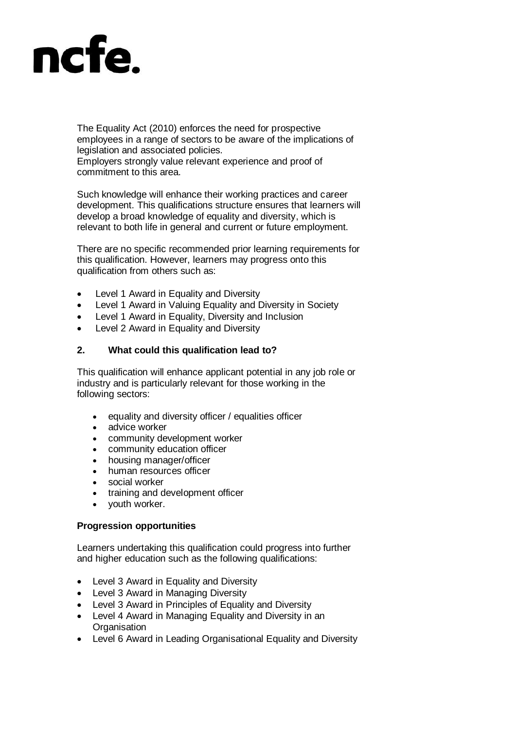

The Equality Act (2010) enforces the need for prospective employees in a range of sectors to be aware of the implications of legislation and associated policies. Employers strongly value relevant experience and proof of commitment to this area.

Such knowledge will enhance their working practices and career development. This qualifications structure ensures that learners will develop a broad knowledge of equality and diversity, which is relevant to both life in general and current or future employment.

There are no specific recommended prior learning requirements for this qualification. However, learners may progress onto this qualification from others such as:

- Level 1 Award in Equality and Diversity
- Level 1 Award in Valuing Equality and Diversity in Society
- Level 1 Award in Equality, Diversity and Inclusion
- Level 2 Award in Equality and Diversity

#### **2. What could this qualification lead to?**

This qualification will enhance applicant potential in any job role or industry and is particularly relevant for those working in the following sectors:

- equality and diversity officer / equalities officer
- advice worker
- community development worker
- community education officer
- housing manager/officer
- human resources officer
- social worker
- training and development officer
- youth worker.

#### **Progression opportunities**

Learners undertaking this qualification could progress into further and higher education such as the following qualifications:

- Level 3 Award in Equality and Diversity
- Level 3 Award in Managing Diversity
- Level 3 Award in Principles of Equality and Diversity
- Level 4 Award in Managing Equality and Diversity in an **Organisation**
- Level 6 Award in Leading Organisational Equality and Diversity